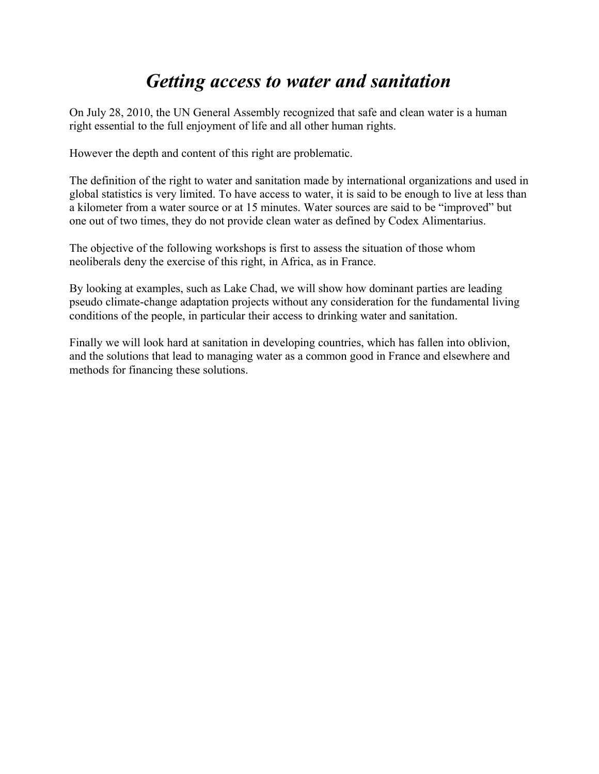# *Getting access to water and sanitation*

On July 28, 2010, the UN General Assembly recognized that safe and clean water is a human right essential to the full enjoyment of life and all other human rights.

However the depth and content of this right are problematic.

The definition of the right to water and sanitation made by international organizations and used in global statistics is very limited. To have access to water, it is said to be enough to live at less than a kilometer from a water source or at 15 minutes. Water sources are said to be "improved" but one out of two times, they do not provide clean water as defined by Codex Alimentarius.

The objective of the following workshops is first to assess the situation of those whom neoliberals deny the exercise of this right, in Africa, as in France.

By looking at examples, such as Lake Chad, we will show how dominant parties are leading pseudo climate-change adaptation projects without any consideration for the fundamental living conditions of the people, in particular their access to drinking water and sanitation.

Finally we will look hard at sanitation in developing countries, which has fallen into oblivion, and the solutions that lead to managing water as a common good in France and elsewhere and methods for financing these solutions.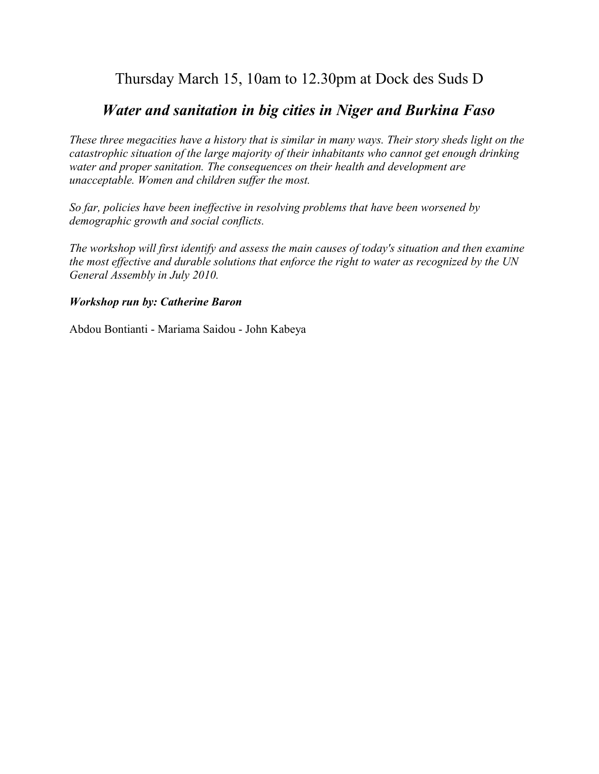## Thursday March 15, 10am to 12.30pm at Dock des Suds D

### *Water and sanitation in big cities in Niger and Burkina Faso*

*These three megacities have a history that is similar in many ways. Their story sheds light on the catastrophic situation of the large majority of their inhabitants who cannot get enough drinking water and proper sanitation. The consequences on their health and development are unacceptable. Women and children suffer the most.*

*So far, policies have been ineffective in resolving problems that have been worsened by demographic growth and social conflicts.*

*The workshop will first identify and assess the main causes of today's situation and then examine the most effective and durable solutions that enforce the right to water as recognized by the UN General Assembly in July 2010.*

#### *Workshop run by: Catherine Baron*

Abdou Bontianti - Mariama Saidou - John Kabeya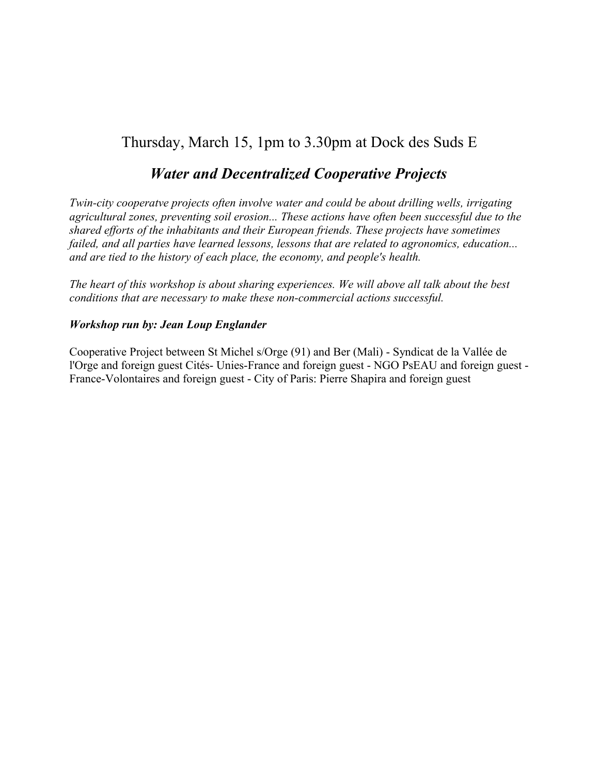## Thursday, March 15, 1pm to 3.30pm at Dock des Suds E

### *Water and Decentralized Cooperative Projects*

*Twin-city cooperatve projects often involve water and could be about drilling wells, irrigating agricultural zones, preventing soil erosion... These actions have often been successful due to the shared efforts of the inhabitants and their European friends. These projects have sometimes failed, and all parties have learned lessons, lessons that are related to agronomics, education... and are tied to the history of each place, the economy, and people's health.*

*The heart of this workshop is about sharing experiences. We will above all talk about the best conditions that are necessary to make these non-commercial actions successful.*

#### *Workshop run by: Jean Loup Englander*

Cooperative Project between St Michel s/Orge (91) and Ber (Mali) - Syndicat de la Vallée de l'Orge and foreign guest Cités- Unies-France and foreign guest - NGO PsEAU and foreign guest - France-Volontaires and foreign guest - City of Paris: Pierre Shapira and foreign guest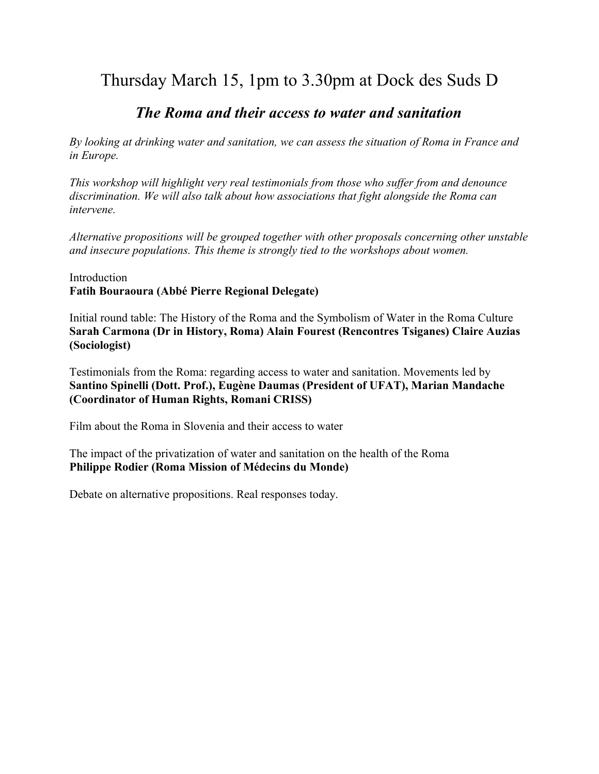## Thursday March 15, 1pm to 3.30pm at Dock des Suds D

## *The Roma and their access to water and sanitation*

*By looking at drinking water and sanitation, we can assess the situation of Roma in France and in Europe.*

*This workshop will highlight very real testimonials from those who suffer from and denounce discrimination. We will also talk about how associations that fight alongside the Roma can intervene.*

*Alternative propositions will be grouped together with other proposals concerning other unstable and insecure populations. This theme is strongly tied to the workshops about women.*

Introduction **Fatih Bouraoura (Abbé Pierre Regional Delegate)**

Initial round table: The History of the Roma and the Symbolism of Water in the Roma Culture **Sarah Carmona (Dr in History, Roma) Alain Fourest (Rencontres Tsiganes) Claire Auzias (Sociologist)**

Testimonials from the Roma: regarding access to water and sanitation. Movements led by **Santino Spinelli (Dott. Prof.), Eugène Daumas (President of UFAT), Marian Mandache (Coordinator of Human Rights, Romani CRISS)**

Film about the Roma in Slovenia and their access to water

The impact of the privatization of water and sanitation on the health of the Roma **Philippe Rodier (Roma Mission of Médecins du Monde)**

Debate on alternative propositions. Real responses today.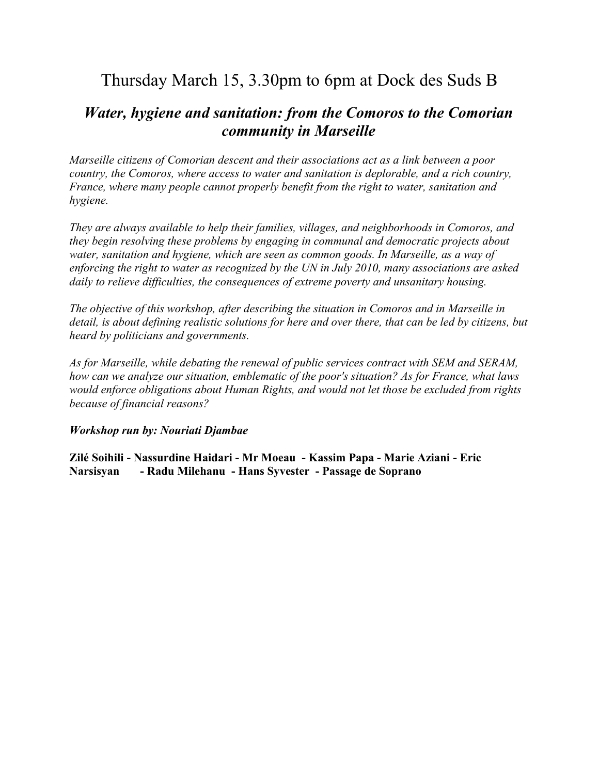## Thursday March 15, 3.30pm to 6pm at Dock des Suds B

## *Water, hygiene and sanitation: from the Comoros to the Comorian community in Marseille*

*Marseille citizens of Comorian descent and their associations act as a link between a poor country, the Comoros, where access to water and sanitation is deplorable, and a rich country, France, where many people cannot properly benefit from the right to water, sanitation and hygiene.*

*They are always available to help their families, villages, and neighborhoods in Comoros, and they begin resolving these problems by engaging in communal and democratic projects about water, sanitation and hygiene, which are seen as common goods. In Marseille, as a way of enforcing the right to water as recognized by the UN in July 2010, many associations are asked daily to relieve difficulties, the consequences of extreme poverty and unsanitary housing.*

*The objective of this workshop, after describing the situation in Comoros and in Marseille in detail, is about defining realistic solutions for here and over there, that can be led by citizens, but heard by politicians and governments.*

*As for Marseille, while debating the renewal of public services contract with SEM and SERAM, how can we analyze our situation, emblematic of the poor's situation? As for France, what laws would enforce obligations about Human Rights, and would not let those be excluded from rights because of financial reasons?* 

### *Workshop run by: Nouriati Djambae*

**Zilé Soihili - Nassurdine Haidari - Mr Moeau - Kassim Papa - Marie Aziani - Eric Narsisyan - Radu Milehanu - Hans Syvester - Passage de Soprano**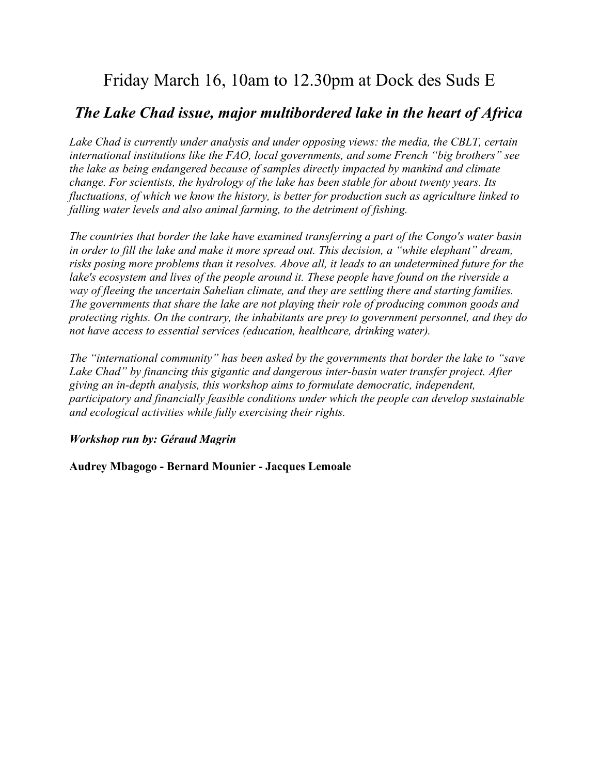## Friday March 16, 10am to 12.30pm at Dock des Suds E

## *The Lake Chad issue, major multibordered lake in the heart of Africa*

*Lake Chad is currently under analysis and under opposing views: the media, the CBLT, certain international institutions like the FAO, local governments, and some French "big brothers" see the lake as being endangered because of samples directly impacted by mankind and climate change. For scientists, the hydrology of the lake has been stable for about twenty years. Its fluctuations, of which we know the history, is better for production such as agriculture linked to falling water levels and also animal farming, to the detriment of fishing.*

*The countries that border the lake have examined transferring a part of the Congo's water basin in order to fill the lake and make it more spread out. This decision, a "white elephant" dream, risks posing more problems than it resolves. Above all, it leads to an undetermined future for the lake's ecosystem and lives of the people around it. These people have found on the riverside a way of fleeing the uncertain Sahelian climate, and they are settling there and starting families. The governments that share the lake are not playing their role of producing common goods and protecting rights. On the contrary, the inhabitants are prey to government personnel, and they do not have access to essential services (education, healthcare, drinking water).*

*The "international community" has been asked by the governments that border the lake to "save Lake Chad" by financing this gigantic and dangerous inter-basin water transfer project. After giving an in-depth analysis, this workshop aims to formulate democratic, independent, participatory and financially feasible conditions under which the people can develop sustainable and ecological activities while fully exercising their rights.*

### *Workshop run by: Géraud Magrin*

**Audrey Mbagogo - Bernard Mounier - Jacques Lemoale**